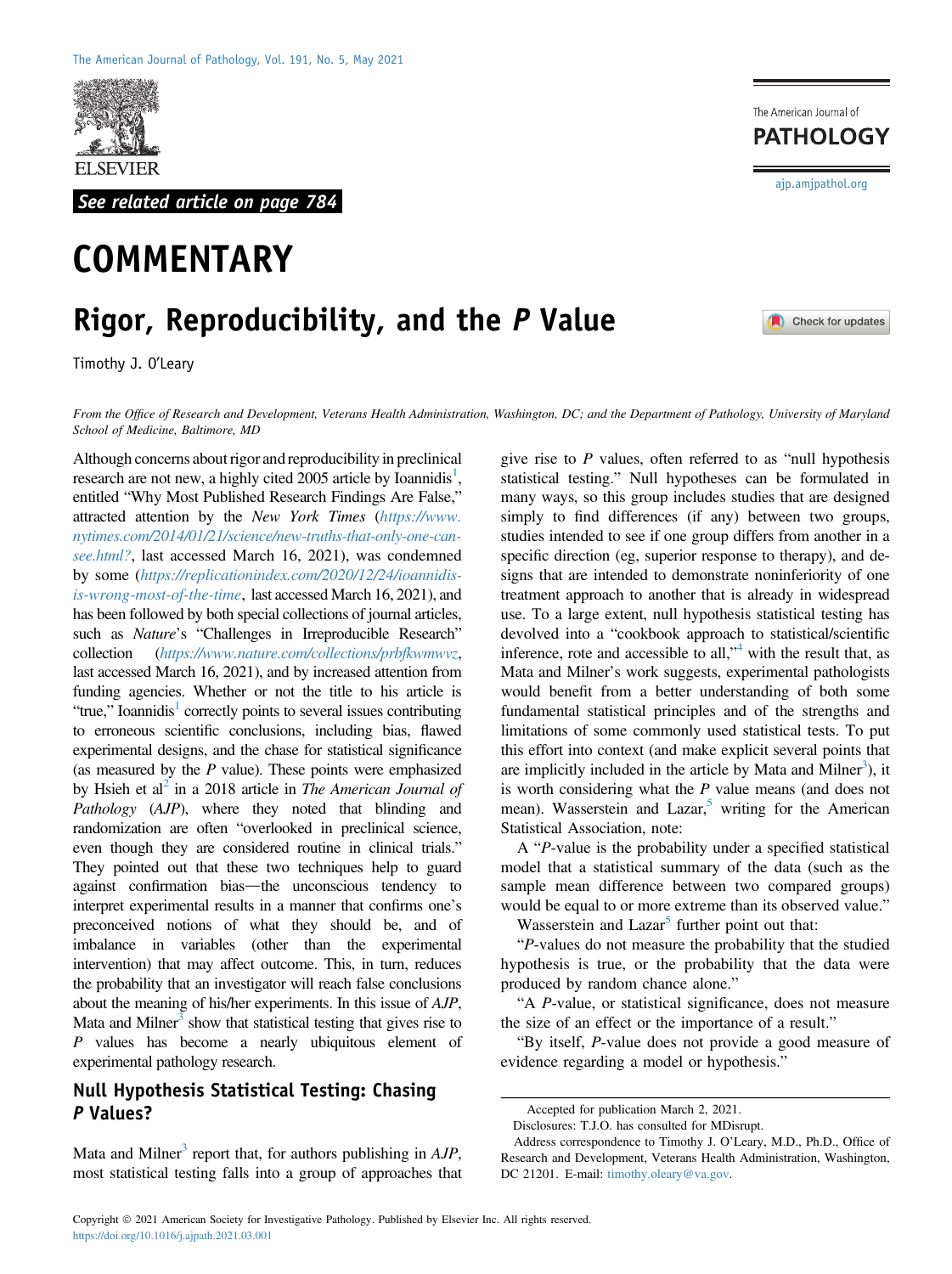

See related article on page 784

# **COMMENTARY**

## Rigor, Reproducibility, and the P Value

Timothy J. O'Leary

From the Office of Research and Development, Veterans Health Administration, Washington, DC; and the Department of Pathology, University of Maryland School of Medicine, Baltimore, MD

Although concerns about rigor and reproducibility in preclinical research are not new, a highly cited  $2005$  article by Ioannidis<sup>1</sup>, entitled "Why Most Published Research Findings Are False," attracted attention by the New York Times ([https://www.](https://www.nytimes.com/2014/01/21/science/new-truths-that-only-one-can-see.html?) [nytimes.com/2014/01/21/science/new-truths-that-only-one-can](https://www.nytimes.com/2014/01/21/science/new-truths-that-only-one-can-see.html?)[see.html?](https://www.nytimes.com/2014/01/21/science/new-truths-that-only-one-can-see.html?), last accessed March 16, 2021), was condemned by some ([https://replicationindex.com/2020/12/24/ioannidis](https://replicationindex.com/2020/12/24/ioannidis-is-wrong-most-of-the-time)[is-wrong-most-of-the-time](https://replicationindex.com/2020/12/24/ioannidis-is-wrong-most-of-the-time), last accessed March 16, 2021), and has been followed by both special collections of journal articles, such as *Nature's* "Challenges in Irreproducible Research" collection (<https://www.nature.com/collections/prbfkwmwvz>, last accessed March 16, 2021), and by increased attention from funding agencies. Whether or not the title to his article is "true," Ioannidis<sup>1</sup> correctly points to several issues contributing to erroneous scientific conclusions, including bias, flawed experimental designs, and the chase for statistical significance (as measured by the  $P$  value). These points were emphasized by Hsieh et al<sup>2</sup> in a 2018 article in *The American Journal of* Pathology (AJP), where they noted that blinding and randomization are often "overlooked in preclinical science, even though they are considered routine in clinical trials." They pointed out that these two techniques help to guard against confirmation bias—the unconscious tendency to interpret experimental results in a manner that confirms one's preconceived notions of what they should be, and of imbalance in variables (other than the experimental intervention) that may affect outcome. This, in turn, reduces the probability that an investigator will reach false conclusions about the meaning of his/her experiments. In this issue of AJP, Mata and Milner<sup>3</sup> show that statistical testing that gives rise to P values has become a nearly ubiquitous element of experimental pathology research.

### Null Hypothesis Statistical Testing: Chasing P Values?

Mata and Milner<sup>3</sup> report that, for authors publishing in  $AJP$ , most statistical testing falls into a group of approaches that give rise to  $P$  values, often referred to as "null hypothesis" statistical testing." Null hypotheses can be formulated in many ways, so this group includes studies that are designed simply to find differences (if any) between two groups, studies intended to see if one group differs from another in a specific direction (eg, superior response to therapy), and designs that are intended to demonstrate noninferiority of one treatment approach to another that is already in widespread use. To a large extent, null hypothesis statistical testing has devolved into a "cookbook approach to statistical/scientific inference, rote and accessible to all,<sup>1[4](#page-3-3)</sup> with the result that, as Mata and Milner's work suggests, experimental pathologists would benefit from a better understanding of both some fundamental statistical principles and of the strengths and limitations of some commonly used statistical tests. To put this effort into context (and make explicit several points that are implicitly included in the article by Mata and Milner<sup>[3](#page-3-2)</sup>), it is worth considering what the  $P$  value means (and does not mean). Wasserstein and Lazar,<sup>5</sup> writing for the American Statistical Association, note:

A "P-value is the probability under a specified statistical model that a statistical summary of the data (such as the sample mean difference between two compared groups) would be equal to or more extreme than its observed value."

Wasserstein and Lazar<sup>[5](#page-3-4)</sup> further point out that:

"P-values do not measure the probability that the studied hypothesis is true, or the probability that the data were produced by random chance alone."

"A P-value, or statistical significance, does not measure the size of an effect or the importance of a result."

"By itself, P-value does not provide a good measure of evidence regarding a model or hypothesis."

[ajp.amjpathol.org](http://ajp.amjpathol.org)

Check for updates

The American Journal of **PATHOLOGY** 

Accepted for publication March 2, 2021.

Disclosures: T.J.O. has consulted for MDisrupt.

Address correspondence to Timothy J. O'Leary, M.D., Ph.D., Office of Research and Development, Veterans Health Administration, Washington, DC 21201. E-mail: [timothy.oleary@va.gov.](mailto:timothy.oleary@va.gov)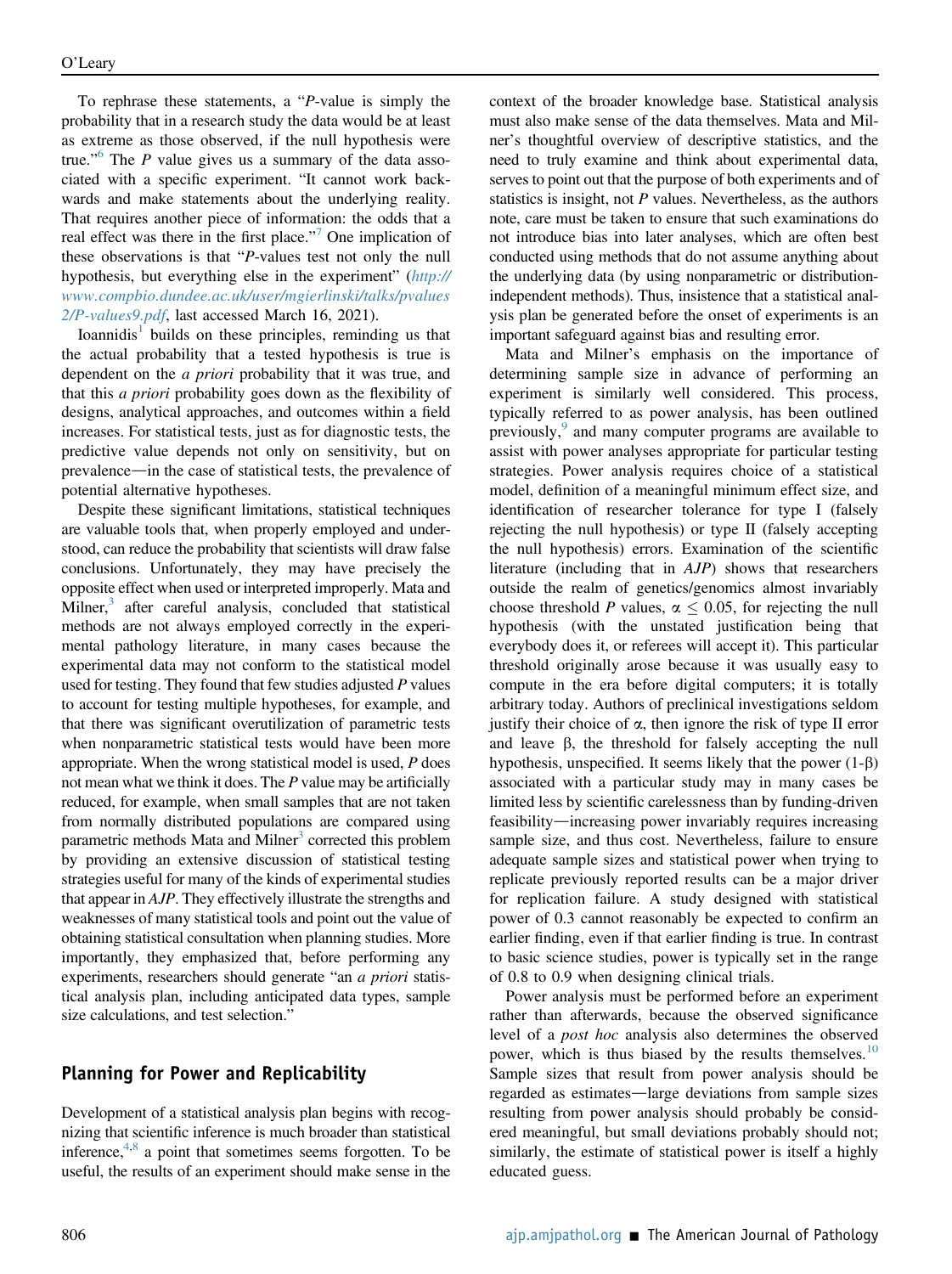To rephrase these statements, a "P-value is simply the probability that in a research study the data would be at least as extreme as those observed, if the null hypothesis were true." [6](#page-3-5) The P value gives us a summary of the data associated with a specific experiment. "It cannot work backwards and make statements about the underlying reality. That requires another piece of information: the odds that a real effect was there in the first place."<sup>[7](#page-3-6)</sup> One implication of these observations is that "P-values test not only the null hypothesis, but everything else in the experiment" ([http://](http://www.compbio.dundee.ac.uk/user/mgierlinski/talks/pvalues2/p-values9.pdf) [www.compbio.dundee.ac.uk/user/mgierlinski/talks/pvalues](http://www.compbio.dundee.ac.uk/user/mgierlinski/talks/pvalues2/p-values9.pdf) [2/P-values9.pdf](http://www.compbio.dundee.ac.uk/user/mgierlinski/talks/pvalues2/p-values9.pdf), last accessed March 16, 2021).

Ioannidis<sup>[1](#page-3-0)</sup> builds on these principles, reminding us that the actual probability that a tested hypothesis is true is dependent on the a priori probability that it was true, and that this a priori probability goes down as the flexibility of designs, analytical approaches, and outcomes within a field increases. For statistical tests, just as for diagnostic tests, the predictive value depends not only on sensitivity, but on prevalence—in the case of statistical tests, the prevalence of potential alternative hypotheses.

Despite these significant limitations, statistical techniques are valuable tools that, when properly employed and understood, can reduce the probability that scientists will draw false conclusions. Unfortunately, they may have precisely the opposite effect when used or interpreted improperly. Mata and Milner, $3$  after careful analysis, concluded that statistical methods are not always employed correctly in the experimental pathology literature, in many cases because the experimental data may not conform to the statistical model used for testing. They found that few studies adjusted  $P$  values to account for testing multiple hypotheses, for example, and that there was significant overutilization of parametric tests when nonparametric statistical tests would have been more appropriate. When the wrong statistical model is used, P does not mean what we think it does. The  $P$  value may be artificially reduced, for example, when small samples that are not taken from normally distributed populations are compared using parametric methods Mata and Milner<sup>3</sup> corrected this problem by providing an extensive discussion of statistical testing strategies useful for many of the kinds of experimental studies that appear in AJP. They effectively illustrate the strengths and weaknesses of many statistical tools and point out the value of obtaining statistical consultation when planning studies. More importantly, they emphasized that, before performing any experiments, researchers should generate "an a priori statistical analysis plan, including anticipated data types, sample size calculations, and test selection."

#### Planning for Power and Replicability

Development of a statistical analysis plan begins with recognizing that scientific inference is much broader than statistical inference, $4,8$  $4,8$  a point that sometimes seems forgotten. To be useful, the results of an experiment should make sense in the context of the broader knowledge base. Statistical analysis must also make sense of the data themselves. Mata and Milner's thoughtful overview of descriptive statistics, and the need to truly examine and think about experimental data, serves to point out that the purpose of both experiments and of statistics is insight, not P values. Nevertheless, as the authors note, care must be taken to ensure that such examinations do not introduce bias into later analyses, which are often best conducted using methods that do not assume anything about the underlying data (by using nonparametric or distributionindependent methods). Thus, insistence that a statistical analysis plan be generated before the onset of experiments is an important safeguard against bias and resulting error.

Mata and Milner's emphasis on the importance of determining sample size in advance of performing an experiment is similarly well considered. This process, typically referred to as power analysis, has been outlined previously,<sup>[9](#page-3-8)</sup> and many computer programs are available to assist with power analyses appropriate for particular testing strategies. Power analysis requires choice of a statistical model, definition of a meaningful minimum effect size, and identification of researcher tolerance for type I (falsely rejecting the null hypothesis) or type II (falsely accepting the null hypothesis) errors. Examination of the scientific literature (including that in AJP) shows that researchers outside the realm of genetics/genomics almost invariably choose threshold P values,  $\alpha$  < 0.05, for rejecting the null hypothesis (with the unstated justification being that everybody does it, or referees will accept it). This particular threshold originally arose because it was usually easy to compute in the era before digital computers; it is totally arbitrary today. Authors of preclinical investigations seldom justify their choice of  $\alpha$ , then ignore the risk of type II error and leave  $\beta$ , the threshold for falsely accepting the null hypothesis, unspecified. It seems likely that the power  $(1-\beta)$ associated with a particular study may in many cases be limited less by scientific carelessness than by funding-driven feasibility—increasing power invariably requires increasing sample size, and thus cost. Nevertheless, failure to ensure adequate sample sizes and statistical power when trying to replicate previously reported results can be a major driver for replication failure. A study designed with statistical power of 0.3 cannot reasonably be expected to confirm an earlier finding, even if that earlier finding is true. In contrast to basic science studies, power is typically set in the range of 0.8 to 0.9 when designing clinical trials.

Power analysis must be performed before an experiment rather than afterwards, because the observed significance level of a post hoc analysis also determines the observed power, which is thus biased by the results themselves.<sup>[10](#page-3-9)</sup> Sample sizes that result from power analysis should be regarded as estimates—large deviations from sample sizes resulting from power analysis should probably be considered meaningful, but small deviations probably should not; similarly, the estimate of statistical power is itself a highly educated guess.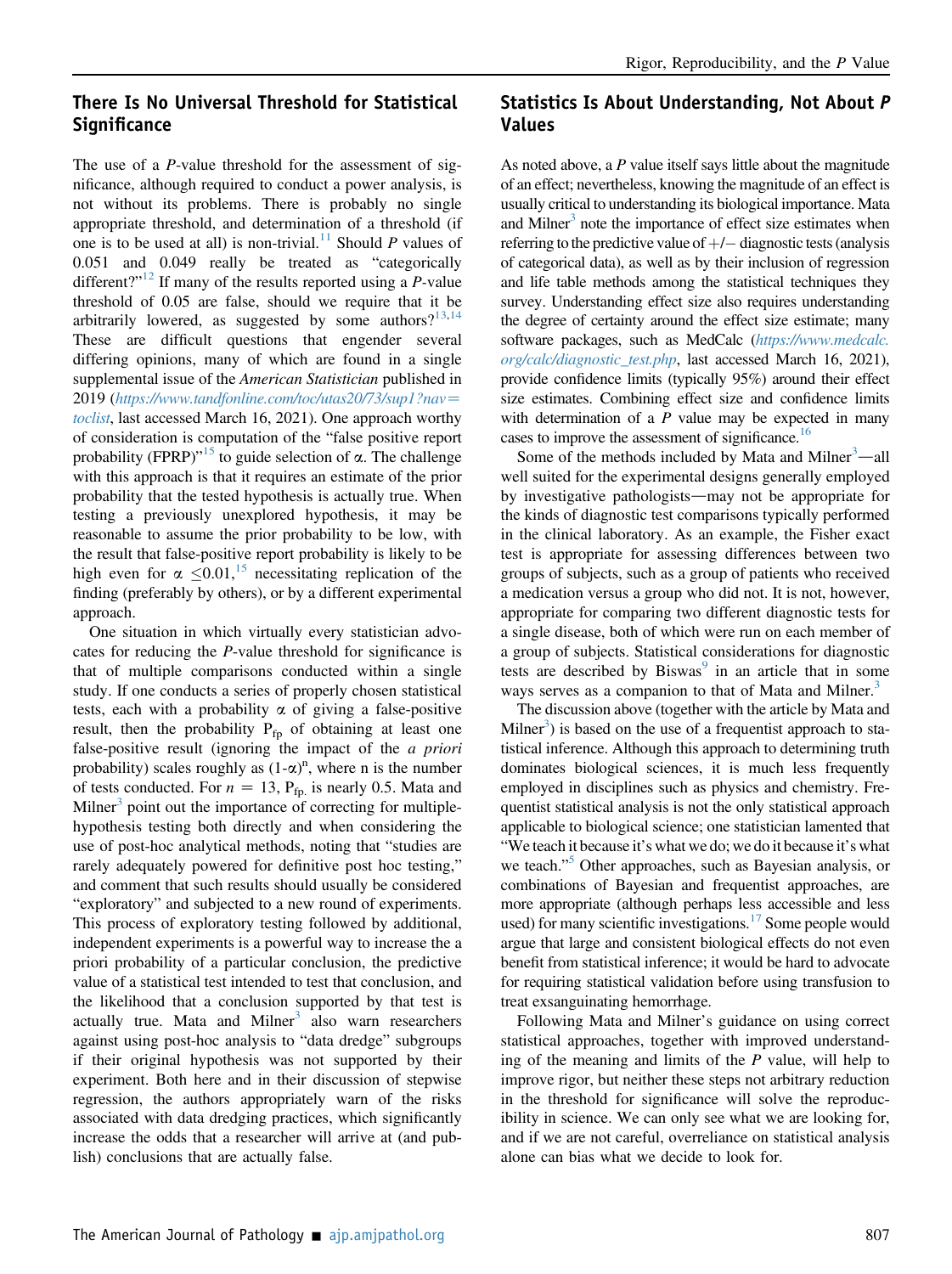### There Is No Universal Threshold for Statistical Significance

The use of a *P*-value threshold for the assessment of significance, although required to conduct a power analysis, is not without its problems. There is probably no single appropriate threshold, and determination of a threshold (if one is to be used at all) is non-trivial.<sup>11</sup> Should P values of 0.051 and 0.049 really be treated as "categorically different?"<sup>[12](#page-3-11)</sup> If many of the results reported using a  $P$ -value threshold of 0.05 are false, should we require that it be arbitrarily lowered, as suggested by some authors? $13,14$  $13,14$ These are difficult questions that engender several differing opinions, many of which are found in a single supplemental issue of the American Statistician published in 2019 ([https://www.tandfonline.com/toc/utas20/73/sup1?nav](https://www.tandfonline.com/toc/utas20/73/sup1?nav=toclist)= [toclist](https://www.tandfonline.com/toc/utas20/73/sup1?nav=toclist), last accessed March 16, 2021). One approach worthy of consideration is computation of the "false positive report probability (FPRP)<sup> $n^{15}$  $n^{15}$  $n^{15}$ </sup> to guide selection of  $\alpha$ . The challenge with this approach is that it requires an estimate of the prior probability that the tested hypothesis is actually true. When testing a previously unexplored hypothesis, it may be reasonable to assume the prior probability to be low, with the result that false-positive report probability is likely to be high even for  $\alpha \leq 0.01$ ,<sup>[15](#page-3-14)</sup> necessitating replication of the finding (preferably by others), or by a different experimental approach.

One situation in which virtually every statistician advocates for reducing the P-value threshold for significance is that of multiple comparisons conducted within a single study. If one conducts a series of properly chosen statistical tests, each with a probability  $\alpha$  of giving a false-positive result, then the probability  $P_{fp}$  of obtaining at least one false-positive result (ignoring the impact of the a priori probability) scales roughly as  $(1-\alpha)^n$ , where n is the number of tests conducted. For  $n = 13$ , P<sub>fp.</sub> is nearly 0.5. Mata and Milner $3$  point out the importance of correcting for multiplehypothesis testing both directly and when considering the use of post-hoc analytical methods, noting that "studies are rarely adequately powered for definitive post hoc testing," and comment that such results should usually be considered "exploratory" and subjected to a new round of experiments. This process of exploratory testing followed by additional, independent experiments is a powerful way to increase the a priori probability of a particular conclusion, the predictive value of a statistical test intended to test that conclusion, and the likelihood that a conclusion supported by that test is actually true. Mata and Milner $3$  also warn researchers against using post-hoc analysis to "data dredge" subgroups if their original hypothesis was not supported by their experiment. Both here and in their discussion of stepwise regression, the authors appropriately warn of the risks associated with data dredging practices, which significantly increase the odds that a researcher will arrive at (and publish) conclusions that are actually false.

### Statistics Is About Understanding, Not About P Values

As noted above, a  $P$  value itself says little about the magnitude of an effect; nevertheless, knowing the magnitude of an effect is usually critical to understanding its biological importance. Mata and Milner<sup>3</sup> note the importance of effect size estimates when referring to the predictive value of  $+/-$  diagnostic tests (analysis of categorical data), as well as by their inclusion of regression and life table methods among the statistical techniques they survey. Understanding effect size also requires understanding the degree of certainty around the effect size estimate; many software packages, such as MedCalc ([https://www.medcalc.](https://www.medcalc.org/calc/diagnostic_test.php) [org/calc/diagnostic\\_test.php](https://www.medcalc.org/calc/diagnostic_test.php), last accessed March 16, 2021), provide confidence limits (typically 95%) around their effect size estimates. Combining effect size and confidence limits with determination of a  $P$  value may be expected in many cases to improve the assessment of significance.<sup>16</sup>

Some of the methods included by Mata and Milner $3$ —all well suited for the experimental designs generally employed by investigative pathologists—may not be appropriate for the kinds of diagnostic test comparisons typically performed in the clinical laboratory. As an example, the Fisher exact test is appropriate for assessing differences between two groups of subjects, such as a group of patients who received a medication versus a group who did not. It is not, however, appropriate for comparing two different diagnostic tests for a single disease, both of which were run on each member of a group of subjects. Statistical considerations for diagnostic tests are described by  $Biswas<sup>9</sup>$  $Biswas<sup>9</sup>$  $Biswas<sup>9</sup>$  in an article that in some ways serves as a companion to that of Mata and Milner.<sup>3</sup>

The discussion above (together with the article by Mata and  $M$ ilner<sup>3</sup>) is based on the use of a frequentist approach to statistical inference. Although this approach to determining truth dominates biological sciences, it is much less frequently employed in disciplines such as physics and chemistry. Frequentist statistical analysis is not the only statistical approach applicable to biological science; one statistician lamented that "We teach it because it's what we do; we do it because it's what we teach."<sup>[5](#page-3-4)</sup> Other approaches, such as Bayesian analysis, or combinations of Bayesian and frequentist approaches, are more appropriate (although perhaps less accessible and less used) for many scientific investigations.<sup>[17](#page-3-16)</sup> Some people would argue that large and consistent biological effects do not even benefit from statistical inference; it would be hard to advocate for requiring statistical validation before using transfusion to treat exsanguinating hemorrhage.

Following Mata and Milner's guidance on using correct statistical approaches, together with improved understanding of the meaning and limits of the  $P$  value, will help to improve rigor, but neither these steps not arbitrary reduction in the threshold for significance will solve the reproducibility in science. We can only see what we are looking for, and if we are not careful, overreliance on statistical analysis alone can bias what we decide to look for.